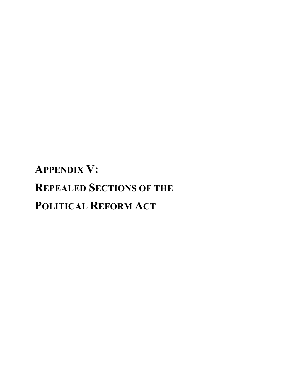# **APPENDIX V: REPEALED SECTIONS OF THE POLITICAL REFORM ACT**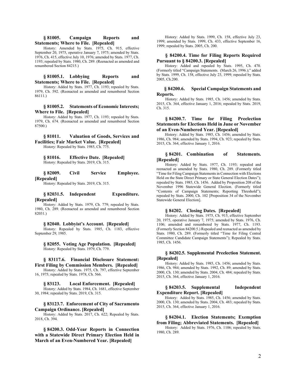## **§ 81005. Campaign Reports and Statements; Where to File. [Repealed]**

History: Amended by Stats. 1975, Ch. 915, effective September 20, 1975, operative January 7, 1975; amended by Stats. 1976, Ch. 415, effective July 10, 1976; amended by Stats. 1977, Ch. 1193; repealed by Stats. 1980, Ch. 289. (Reenacted as amended and renumbered Section 84215.)

# **§ 81005.1. Lobbying Reports and Statements; Where to File. [Repealed]**

History: Added by Stats. 1977, Ch. 1193; repealed by Stats. 1979, Ch. 592. (Reenacted as amended and renumbered Section 86111.)

#### **§ 81005.2. Statements of Economic Interests; Where to File. [Repealed]**

History: Added by Stats. 1977, Ch. 1193; repealed by Stats. 1979, Ch. 674. (Reenacted as amended and renumbered Section 87500.)

## **§ 81011. Valuation of Goods, Services and Facilities; Fair Market Value. [Repealed]**

History: Repealed by Stats. 1985, Ch. 775.

#### **§ 81016. Effective Date. [Repealed]** History: Repealed by Stats. 2019, Ch. 315.

# **§ 82009. Civil Service Employee. [Repealed]**

History: Repealed by Stats. 2019, Ch. 315.

## **§ 82031.5. Independent Expenditure. [Repealed]**

History: Added by Stats. 1979, Ch. 779; repealed by Stats. 1980, Ch. 289. (Reenacted as amended and renumbered Section 82031.)

#### **§ 82040. Lobbyist's Account. [Repealed]**

History: Repealed by Stats. 1985, Ch. 1183, effective September 29, 1985.

**§ 82055. Voting Age Population. [Repealed]** History: Repealed by Stats. 1979, Ch. 779.

# **§ 83117.6. Financial Disclosure Statement: First Filing by Commission Members. [Repealed]**

History: Added by Stats. 1975, Ch. 797, effective September 16, 1975; repealed by Stats. 1978, Ch. 566.

**§ 83123. Local Enforcement. [Repealed]** History: Added by Stats. 1984, Ch. 1681, effective September 30, 1984; repealed by Stats. 2019, Ch. 315.

## **§ 83123.7. Enforcement of City of Sacramento Campaign Ordinance. [Repealed]**

History: Added by Stats. 2017, Ch. 622; Repealed by Stats. 2018, Ch. 394.

**§ 84200.3. Odd-Year Reports in Connection with a Statewide Direct Primary Election Held in March of an Even-Numbered Year. [Repealed]**

History: Added by Stats. 1999, Ch. 158, effective July 23, 1999; amended by Stats. 1999, Ch. 433, effective September 16, 1999; repealed by Stats. 2005, Ch. 200.

# **§ 84200.4. Time for Filing Reports Required Pursuant to § 84200.3. [Repealed]**

History: Added and repealed by Stats. 1995, Ch. 470. (Formerly titled "Campaign Statements. (March 26, 1996.);" added by Stats. 1999, Ch. 158, effective July 23, 1999; repealed by Stats. 2005, Ch.200.

## **§ 84200.6. Special Campaign Statements and Reports.**

History: Added by Stats. 1985, Ch. 1456; amended by Stats. 2015, Ch. 364, effective January 1, 2016; repealed by Stats. 2019, Ch. 315.

# **§ 84200.7. Time for Filing Preelection Statements for Elections Held in June or November of an Even-Numbered Year. [Repealed]**

History: Added by Stats. 1985, Ch. 1456; amended by Stats. 1986, Ch. 984; amended by Stats. 1994, Ch. 923; repealed by Stats. 2015, Ch. 364, effective January 1, 2016.

# **§ 84201. Combination of Statements. [Repealed]**

History: Added by Stats. 1977, Ch. 1193; repealed and reenacted as amended by Stats. 1980, Ch. 289. (Formerly titled "Time for Filing Campaign Statements in Connection with Elections Held on the State Direct Primary or State General Election Dates"); repealed by Stats. 1985, Ch. 1456. Added by Proposition 208 of the November 1996 Statewide General Election. (Formerly titled "Contents of Campaign Statements; Reporting Threshold"); repealed by Stats. 2000, Ch. 102 [Proposition 34 of the November Statewide General Election].

#### **§ 84202. Closing Dates. [Repealed]**

History: Added by Stats. 1975, Ch. 915, effective September 20, 1975, operative January 7, 1975; amended by Stats. 1976, Ch. 1106; amended and renumbered by Stats. 1977, Ch. 1193. (Formerly Section 84200.5.) Repealed and reenacted as amended by Stats. 1980, Ch. 289. (Formerly titled "Time for Filing Central Committee Candidate Campaign Statements"); Repealed by Stats. 1985, Ch. 1456.

## **§ 84202.5. Supplemental Preelection Statement. [Repealed]**

History: Added by Stats. 1985, Ch. 1456; amended by Stats. 1986, Ch. 984; amended by Stats. 1992, Ch. 89; amended by Stats. 2000, Ch. 130; amended by Stats. 2004, Ch. 484; repealed by Stats. 2015, Ch. 364, effective January 1, 2016.

# **§ 84203.5. Supplemental Independent Expenditure Report. [Repealed]**

History: Added by Stats. 1985, Ch. 1456; amended by Stats. 2000, Ch. 130; amended by Stats. 2004, Ch. 483; repealed by Stats. 2015, Ch. 364, effective January 1, 2016.

# **§ 84204.1. Election Statements; Exemption from Filing; Abbreviated Statements. [Repealed]**

History: Added by Stats. 1976, Ch. 1106; repealed by Stats. 1980, Ch. 289.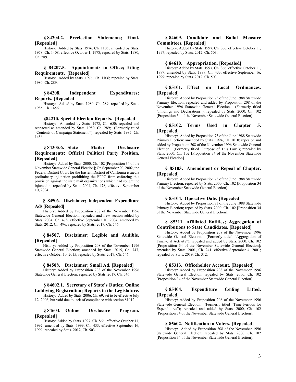#### **§ 84204.2. Preelection Statements; Final. [Repealed]**

History: Added by Stats. 1976, Ch. 1105; amended by Stats. 1978, Ch. 1408, effective October 1, 1978; repealed by Stats. 1980, Ch. 289.

## **§ 84207.5. Appointments to Office; Filing Requirements. [Repealed]**

History: Added by Stats. 1976, Ch. 1106; repealed by Stats. 1980, Ch. 289.

## **§ 84208. Independent Expenditures; Reports. [Repealed]**

History: Added by Stats. 1980, Ch. 289; repealed by Stats. 1985, Ch. 1456

#### **§84210. Special Election Reports. [Repealed]**

History: Amended by Stats. 1978, Ch. 650; repealed and reenacted as amended by Stats. 1980, Ch. 289; (Formerly titled "Contents of Campaign Statement."); repealed by Stats. 1985, Ch. 1456.

# **§ 84305.6. Slate Mailer Disclosure Requirements; Official Political Party Position. [Repealed]**

History: Added by Stats. 2000, Ch. 102 [Proposition 34 of the November Statewide General Election]; On September 20, 2002, the Federal District Court for the Eastern District of California issued a preliminary injunction prohibiting the FPPC from enforcing this provision against the slate mail organizations which had sought the injunction; repealed by Stats. 2004, Ch. 478, effective September 10, 2004.

# **§ 84506. Disclaimer; Independent Expenditure Ads [Repealed]**

History: Added by Proposition 208 of the November 1996 Statewide General Election; repealed and new section added by Stats. 2004, Ch. 478, effective September 10, 2004; amended by Stats. 2012, Ch. 496; repealed by Stats. 2017, Ch. 546.

## **§ 84507. Disclaimer; Legible and Audible. [Repealed]**

History: Added by Proposition 208 of the November 1996 Statewide General Election; amended by Stats. 2015, Ch. 747, effective October 10, 2015; repealed by Stats. 2017, Ch. 546.

**§ 84508. Disclaimer; Small Ad. [Repealed]**

History: Added by Proposition 208 of the November 1996 Statewide General Election; repealed by Stats. 2017, Ch. 546.

## **§ 84602.1. Secretary of State's Duties; Online Lobbying Registration; Reports to the Legislature.**

History: Added by Stats. 2006, Ch. 69, set to be effective July 12, 2006, but void due to lack of compliance with section 81012.

# **§ 84604. Online Disclosure Program. [Repealed]**

History: Added by Stats. 1997, Ch. 866, effective October 11, 1997; amended by Stats. 1999, Ch. 433, effective September 16, 1999; repealed by Stats. 2012, Ch. 503.

# **§ 84609. Candidate and Ballot Measure Committees. [Repealed]**

History: Added by Stats. 1997, Ch. 866, effective October 11, 1997; repealed by Stats. 2012, Ch. 503.

#### **§ 84610. Appropriation. [Repealed]**

History: Added by Stats. 1997, Ch. 866, effective October 11, 1997; amended by Stats. 1999, Ch. 433, effective September 16, 1999; repealed by Stats. 2012, Ch. 503.

# **§ 85101. Effect on Local Ordinances. [Repealed]**

History: Added by Proposition 73 of the June 1988 Statewide Primary Election; repealed and added by Proposition 208 of the November 1996 Statewide General Election. (Formerly titled "Findings and Declarations"); repealed by Stats. 2000, Ch. 102 [Proposition 34 of the November Statewide General Election].

#### **§ 85102. Terms Used in Chapter 5. [Repealed]**

History: Added by Proposition 73 of the June 1988 Statewide Primary Election; amended by Stats. 1994, Ch. 1010; repealed and added by Proposition 208 of the November 1996 Statewide General Election. (Formerly titled "Purpose of This Law"); repealed by Stats. 2000, Ch. 102 [Proposition 34 of the November Statewide General Election].

## **§ 85103. Amendment or Repeal of Chapter. [Repealed]**

History: Added by Proposition 73 of the June 1988 Statewide Primary Election; repealed by Stats. 2000, Ch. 102 [Proposition 34 of the November Statewide General Election].

#### **§ 85104. Operative Date. [Repealed]**

History: Added by Proposition 73 of the June 1988 Statewide Primary Election; repealed by Stats. 2000, Ch. 102 [Proposition 34 of the November Statewide General Election].

## **§ 85311. Affiliated Entities; Aggregation of Contributions to State Candidates. [Repealed]**

History: Added by Proposition 208 of the November 1996 Statewide General Election. (Formerly titled "Aggregation of Finan-cial Activity"); repealed and added by Stats. 2000, Ch. 102 [Propo-sition 34 of the November Statewide General Election]; amended by Stats. 2001, Ch. 241, effective September 4, 2001; repealed by Stats. 2019, Ch. 312.

#### **§ 85313. Officeholder Account. [Repealed]**

History: Added by Proposition 208 of the November 1996 Statewide General Election; repealed by Stats. 2000, Ch. 102 [Proposition 34 of the November Statewide General Election].

# **§ 85404. Expenditure Ceiling Lifted. [Repealed]**

History: Added by Proposition 208 of the November 1996 Statewide General Election. (Formerly titled "Time Periods for Expenditures"); repealed and added by Stats. 2000, Ch. 102 [Proposition 34 of the November Statewide General Election].

#### **§ 85602. Notification to Voters. [Repealed]**

History: Added by Proposition 208 of the November 1996 Statewide General Election; repealed by Stats. 2000, Ch. 102 [Proposition 34 of the November Statewide General Election].